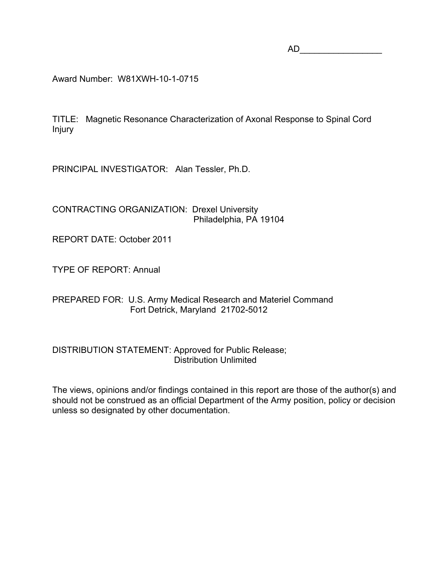AD\_\_\_\_\_\_\_\_\_\_\_\_\_\_\_\_\_

Award Number: W81XWH-10-1-0715

TITLE: Magnetic Resonance Characterization of Axonal Response to Spinal Cord Injury

PRINCIPAL INVESTIGATOR: Alan Tessler, Ph.D.

CONTRACTING ORGANIZATION: Drexel University Philadelphia, PA 19104

REPORT DATE: October 2011

TYPE OF REPORT: Annual

PREPARED FOR: U.S. Army Medical Research and Materiel Command Fort Detrick, Maryland 21702-5012

DISTRIBUTION STATEMENT: Approved for Public Release; Distribution Unlimited

The views, opinions and/or findings contained in this report are those of the author(s) and should not be construed as an official Department of the Army position, policy or decision unless so designated by other documentation.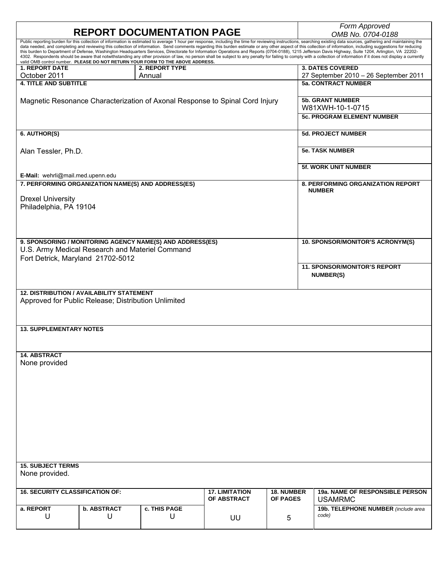| <b>REPORT DOCUMENTATION PAGE</b>                                                                                                                                                                                                                                                                                                                                                                                                                                                                                                                                                                                                                                                                                                                                                                                                                                                                                                                                |                    |                |                       |                 | Form Approved<br>OMB No. 0704-0188       |  |
|-----------------------------------------------------------------------------------------------------------------------------------------------------------------------------------------------------------------------------------------------------------------------------------------------------------------------------------------------------------------------------------------------------------------------------------------------------------------------------------------------------------------------------------------------------------------------------------------------------------------------------------------------------------------------------------------------------------------------------------------------------------------------------------------------------------------------------------------------------------------------------------------------------------------------------------------------------------------|--------------------|----------------|-----------------------|-----------------|------------------------------------------|--|
| Public reporting burden for this collection of information is estimated to average 1 hour per response, including the time for reviewing instructions, searching existing data sources, gathering and maintaining the<br>data needed, and completing and reviewing this collection of information. Send comments regarding this burden estimate or any other aspect of this collection of information, including suggestions for reducing<br>this burden to Department of Defense, Washington Headquarters Services, Directorate for Information Operations and Reports (0704-0188), 1215 Jefferson Davis Highway, Suite 1204, Arlington, VA 22202-<br>4302. Respondents should be aware that notwithstanding any other provision of law, no person shall be subject to any penalty for failing to comply with a collection of information if it does not display a currently<br>valid OMB control number. PLEASE DO NOT RETURN YOUR FORM TO THE ABOVE ADDRESS. |                    |                |                       |                 |                                          |  |
| <b>1. REPORT DATE</b>                                                                                                                                                                                                                                                                                                                                                                                                                                                                                                                                                                                                                                                                                                                                                                                                                                                                                                                                           |                    | 2. REPORT TYPE |                       |                 | <b>3. DATES COVERED</b>                  |  |
| October 2011                                                                                                                                                                                                                                                                                                                                                                                                                                                                                                                                                                                                                                                                                                                                                                                                                                                                                                                                                    |                    | Annual         |                       |                 | 27 September 2010 - 26 September 2011    |  |
| <b>4. TITLE AND SUBTITLE</b>                                                                                                                                                                                                                                                                                                                                                                                                                                                                                                                                                                                                                                                                                                                                                                                                                                                                                                                                    |                    |                |                       |                 | <b>5a. CONTRACT NUMBER</b>               |  |
|                                                                                                                                                                                                                                                                                                                                                                                                                                                                                                                                                                                                                                                                                                                                                                                                                                                                                                                                                                 |                    |                |                       |                 | <b>5b. GRANT NUMBER</b>                  |  |
| Magnetic Resonance Characterization of Axonal Response to Spinal Cord Injury                                                                                                                                                                                                                                                                                                                                                                                                                                                                                                                                                                                                                                                                                                                                                                                                                                                                                    |                    |                |                       |                 | W81XWH-10-1-0715                         |  |
|                                                                                                                                                                                                                                                                                                                                                                                                                                                                                                                                                                                                                                                                                                                                                                                                                                                                                                                                                                 |                    |                |                       |                 | <b>5c. PROGRAM ELEMENT NUMBER</b>        |  |
| 6. AUTHOR(S)                                                                                                                                                                                                                                                                                                                                                                                                                                                                                                                                                                                                                                                                                                                                                                                                                                                                                                                                                    |                    |                |                       |                 | <b>5d. PROJECT NUMBER</b>                |  |
|                                                                                                                                                                                                                                                                                                                                                                                                                                                                                                                                                                                                                                                                                                                                                                                                                                                                                                                                                                 |                    |                |                       |                 |                                          |  |
| Alan Tessler, Ph.D.                                                                                                                                                                                                                                                                                                                                                                                                                                                                                                                                                                                                                                                                                                                                                                                                                                                                                                                                             |                    |                |                       |                 | <b>5e. TASK NUMBER</b>                   |  |
|                                                                                                                                                                                                                                                                                                                                                                                                                                                                                                                                                                                                                                                                                                                                                                                                                                                                                                                                                                 |                    |                |                       |                 | 5f. WORK UNIT NUMBER                     |  |
| E-Mail: wehrli@mail.med.upenn.edu<br>7. PERFORMING ORGANIZATION NAME(S) AND ADDRESS(ES)                                                                                                                                                                                                                                                                                                                                                                                                                                                                                                                                                                                                                                                                                                                                                                                                                                                                         |                    |                |                       |                 | <b>8. PERFORMING ORGANIZATION REPORT</b> |  |
|                                                                                                                                                                                                                                                                                                                                                                                                                                                                                                                                                                                                                                                                                                                                                                                                                                                                                                                                                                 |                    |                |                       |                 | <b>NUMBER</b>                            |  |
| <b>Drexel University</b>                                                                                                                                                                                                                                                                                                                                                                                                                                                                                                                                                                                                                                                                                                                                                                                                                                                                                                                                        |                    |                |                       |                 |                                          |  |
| Philadelphia, PA 19104                                                                                                                                                                                                                                                                                                                                                                                                                                                                                                                                                                                                                                                                                                                                                                                                                                                                                                                                          |                    |                |                       |                 |                                          |  |
|                                                                                                                                                                                                                                                                                                                                                                                                                                                                                                                                                                                                                                                                                                                                                                                                                                                                                                                                                                 |                    |                |                       |                 |                                          |  |
|                                                                                                                                                                                                                                                                                                                                                                                                                                                                                                                                                                                                                                                                                                                                                                                                                                                                                                                                                                 |                    |                |                       |                 |                                          |  |
|                                                                                                                                                                                                                                                                                                                                                                                                                                                                                                                                                                                                                                                                                                                                                                                                                                                                                                                                                                 |                    |                |                       |                 |                                          |  |
| 9. SPONSORING / MONITORING AGENCY NAME(S) AND ADDRESS(ES)                                                                                                                                                                                                                                                                                                                                                                                                                                                                                                                                                                                                                                                                                                                                                                                                                                                                                                       |                    |                |                       |                 | 10. SPONSOR/MONITOR'S ACRONYM(S)         |  |
| U.S. Army Medical Research and Materiel Command<br>Fort Detrick, Maryland 21702-5012                                                                                                                                                                                                                                                                                                                                                                                                                                                                                                                                                                                                                                                                                                                                                                                                                                                                            |                    |                |                       |                 |                                          |  |
|                                                                                                                                                                                                                                                                                                                                                                                                                                                                                                                                                                                                                                                                                                                                                                                                                                                                                                                                                                 |                    |                |                       |                 | <b>11. SPONSOR/MONITOR'S REPORT</b>      |  |
|                                                                                                                                                                                                                                                                                                                                                                                                                                                                                                                                                                                                                                                                                                                                                                                                                                                                                                                                                                 |                    |                |                       |                 | NUMBER(S)                                |  |
|                                                                                                                                                                                                                                                                                                                                                                                                                                                                                                                                                                                                                                                                                                                                                                                                                                                                                                                                                                 |                    |                |                       |                 |                                          |  |
| <b>12. DISTRIBUTION / AVAILABILITY STATEMENT</b>                                                                                                                                                                                                                                                                                                                                                                                                                                                                                                                                                                                                                                                                                                                                                                                                                                                                                                                |                    |                |                       |                 |                                          |  |
| Approved for Public Release; Distribution Unlimited                                                                                                                                                                                                                                                                                                                                                                                                                                                                                                                                                                                                                                                                                                                                                                                                                                                                                                             |                    |                |                       |                 |                                          |  |
|                                                                                                                                                                                                                                                                                                                                                                                                                                                                                                                                                                                                                                                                                                                                                                                                                                                                                                                                                                 |                    |                |                       |                 |                                          |  |
|                                                                                                                                                                                                                                                                                                                                                                                                                                                                                                                                                                                                                                                                                                                                                                                                                                                                                                                                                                 |                    |                |                       |                 |                                          |  |
| <b>13. SUPPLEMENTARY NOTES</b>                                                                                                                                                                                                                                                                                                                                                                                                                                                                                                                                                                                                                                                                                                                                                                                                                                                                                                                                  |                    |                |                       |                 |                                          |  |
|                                                                                                                                                                                                                                                                                                                                                                                                                                                                                                                                                                                                                                                                                                                                                                                                                                                                                                                                                                 |                    |                |                       |                 |                                          |  |
|                                                                                                                                                                                                                                                                                                                                                                                                                                                                                                                                                                                                                                                                                                                                                                                                                                                                                                                                                                 |                    |                |                       |                 |                                          |  |
| <b>14. ABSTRACT</b><br>None provided                                                                                                                                                                                                                                                                                                                                                                                                                                                                                                                                                                                                                                                                                                                                                                                                                                                                                                                            |                    |                |                       |                 |                                          |  |
|                                                                                                                                                                                                                                                                                                                                                                                                                                                                                                                                                                                                                                                                                                                                                                                                                                                                                                                                                                 |                    |                |                       |                 |                                          |  |
|                                                                                                                                                                                                                                                                                                                                                                                                                                                                                                                                                                                                                                                                                                                                                                                                                                                                                                                                                                 |                    |                |                       |                 |                                          |  |
|                                                                                                                                                                                                                                                                                                                                                                                                                                                                                                                                                                                                                                                                                                                                                                                                                                                                                                                                                                 |                    |                |                       |                 |                                          |  |
|                                                                                                                                                                                                                                                                                                                                                                                                                                                                                                                                                                                                                                                                                                                                                                                                                                                                                                                                                                 |                    |                |                       |                 |                                          |  |
|                                                                                                                                                                                                                                                                                                                                                                                                                                                                                                                                                                                                                                                                                                                                                                                                                                                                                                                                                                 |                    |                |                       |                 |                                          |  |
|                                                                                                                                                                                                                                                                                                                                                                                                                                                                                                                                                                                                                                                                                                                                                                                                                                                                                                                                                                 |                    |                |                       |                 |                                          |  |
|                                                                                                                                                                                                                                                                                                                                                                                                                                                                                                                                                                                                                                                                                                                                                                                                                                                                                                                                                                 |                    |                |                       |                 |                                          |  |
|                                                                                                                                                                                                                                                                                                                                                                                                                                                                                                                                                                                                                                                                                                                                                                                                                                                                                                                                                                 |                    |                |                       |                 |                                          |  |
|                                                                                                                                                                                                                                                                                                                                                                                                                                                                                                                                                                                                                                                                                                                                                                                                                                                                                                                                                                 |                    |                |                       |                 |                                          |  |
|                                                                                                                                                                                                                                                                                                                                                                                                                                                                                                                                                                                                                                                                                                                                                                                                                                                                                                                                                                 |                    |                |                       |                 |                                          |  |
| <b>15. SUBJECT TERMS</b>                                                                                                                                                                                                                                                                                                                                                                                                                                                                                                                                                                                                                                                                                                                                                                                                                                                                                                                                        |                    |                |                       |                 |                                          |  |
| None provided.                                                                                                                                                                                                                                                                                                                                                                                                                                                                                                                                                                                                                                                                                                                                                                                                                                                                                                                                                  |                    |                |                       |                 |                                          |  |
| <b>16. SECURITY CLASSIFICATION OF:</b>                                                                                                                                                                                                                                                                                                                                                                                                                                                                                                                                                                                                                                                                                                                                                                                                                                                                                                                          |                    |                | <b>17. LIMITATION</b> | 18. NUMBER      | 19a. NAME OF RESPONSIBLE PERSON          |  |
|                                                                                                                                                                                                                                                                                                                                                                                                                                                                                                                                                                                                                                                                                                                                                                                                                                                                                                                                                                 |                    |                | OF ABSTRACT           | <b>OF PAGES</b> | <b>USAMRMC</b>                           |  |
| a. REPORT                                                                                                                                                                                                                                                                                                                                                                                                                                                                                                                                                                                                                                                                                                                                                                                                                                                                                                                                                       | <b>b. ABSTRACT</b> | c. THIS PAGE   |                       |                 | 19b. TELEPHONE NUMBER (include area      |  |
| U                                                                                                                                                                                                                                                                                                                                                                                                                                                                                                                                                                                                                                                                                                                                                                                                                                                                                                                                                               | U                  | U              | UU                    | 5               | code)                                    |  |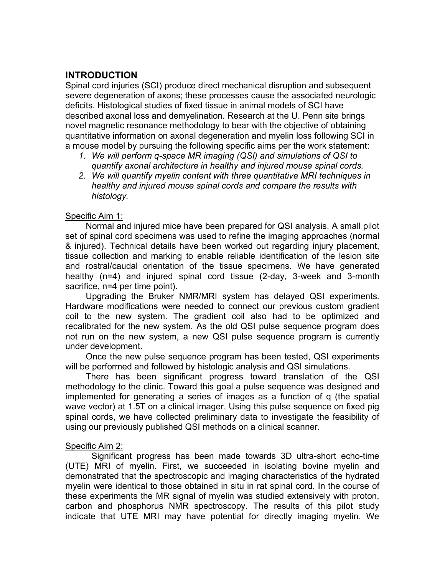# **INTRODUCTION**

Spinal cord injuries (SCI) produce direct mechanical disruption and subsequent severe degeneration of axons; these processes cause the associated neurologic deficits. Histological studies of fixed tissue in animal models of SCI have described axonal loss and demyelination. Research at the U. Penn site brings novel magnetic resonance methodology to bear with the objective of obtaining quantitative information on axonal degeneration and myelin loss following SCI in a mouse model by pursuing the following specific aims per the work statement:

- *1. We will perform q-space MR imaging (QSI) and simulations of QSI to quantify axonal architecture in healthy and injured mouse spinal cords.*
- *2. We will quantify myelin content with three quantitative MRI techniques in healthy and injured mouse spinal cords and compare the results with histology.*

### Specific Aim 1:

Normal and injured mice have been prepared for QSI analysis. A small pilot set of spinal cord specimens was used to refine the imaging approaches (normal & injured). Technical details have been worked out regarding injury placement, tissue collection and marking to enable reliable identification of the lesion site and rostral/caudal orientation of the tissue specimens. We have generated healthy (n=4) and injured spinal cord tissue (2-day, 3-week and 3-month sacrifice, n=4 per time point).

Upgrading the Bruker NMR/MRI system has delayed QSI experiments. Hardware modifications were needed to connect our previous custom gradient coil to the new system. The gradient coil also had to be optimized and recalibrated for the new system. As the old QSI pulse sequence program does not run on the new system, a new QSI pulse sequence program is currently under development.

Once the new pulse sequence program has been tested, QSI experiments will be performed and followed by histologic analysis and QSI simulations.

There has been significant progress toward translation of the QSI methodology to the clinic. Toward this goal a pulse sequence was designed and implemented for generating a series of images as a function of q (the spatial wave vector) at 1.5T on a clinical imager. Using this pulse sequence on fixed pig spinal cords, we have collected preliminary data to investigate the feasibility of using our previously published QSI methods on a clinical scanner.

### Specific Aim 2:

Significant progress has been made towards 3D ultra-short echo-time (UTE) MRI of myelin. First, we succeeded in isolating bovine myelin and demonstrated that the spectroscopic and imaging characteristics of the hydrated myelin were identical to those obtained in situ in rat spinal cord. In the course of these experiments the MR signal of myelin was studied extensively with proton, carbon and phosphorus NMR spectroscopy. The results of this pilot study indicate that UTE MRI may have potential for directly imaging myelin. We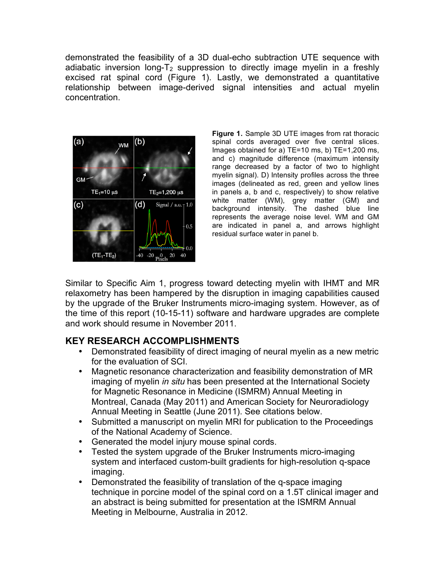demonstrated the feasibility of a 3D dual-echo subtraction UTE sequence with adiabatic inversion long- $T_2$  suppression to directly image myelin in a freshly excised rat spinal cord (Figure 1). Lastly, we demonstrated a quantitative relationship between image-derived signal intensities and actual myelin concentration.



**Figure 1.** Sample 3D UTE images from rat thoracic spinal cords averaged over five central slices. Images obtained for a) TE=10 ms, b) TE=1,200 ms, and c) magnitude difference (maximum intensity range decreased by a factor of two to highlight myelin signal). D) Intensity profiles across the three images (delineated as red, green and yellow lines in panels a, b and c, respectively) to show relative white matter (WM), grey matter (GM) and background intensity. The dashed blue line represents the average noise level. WM and GM are indicated in panel a, and arrows highlight residual surface water in panel b.

Similar to Specific Aim 1, progress toward detecting myelin with IHMT and MR relaxometry has been hampered by the disruption in imaging capabilities caused by the upgrade of the Bruker Instruments micro-imaging system. However, as of the time of this report (10-15-11) software and hardware upgrades are complete and work should resume in November 2011.

# **KEY RESEARCH ACCOMPLISHMENTS**

- Demonstrated feasibility of direct imaging of neural myelin as a new metric for the evaluation of SCI.
- Magnetic resonance characterization and feasibility demonstration of MR imaging of myelin *in situ* has been presented at the International Society for Magnetic Resonance in Medicine (ISMRM) Annual Meeting in Montreal, Canada (May 2011) and American Society for Neuroradiology Annual Meeting in Seattle (June 2011). See citations below.
- Submitted a manuscript on myelin MRI for publication to the Proceedings of the National Academy of Science.
- Generated the model injury mouse spinal cords.
- Tested the system upgrade of the Bruker Instruments micro-imaging system and interfaced custom-built gradients for high-resolution q-space imaging.
- Demonstrated the feasibility of translation of the q-space imaging technique in porcine model of the spinal cord on a 1.5T clinical imager and an abstract is being submitted for presentation at the ISMRM Annual Meeting in Melbourne, Australia in 2012.